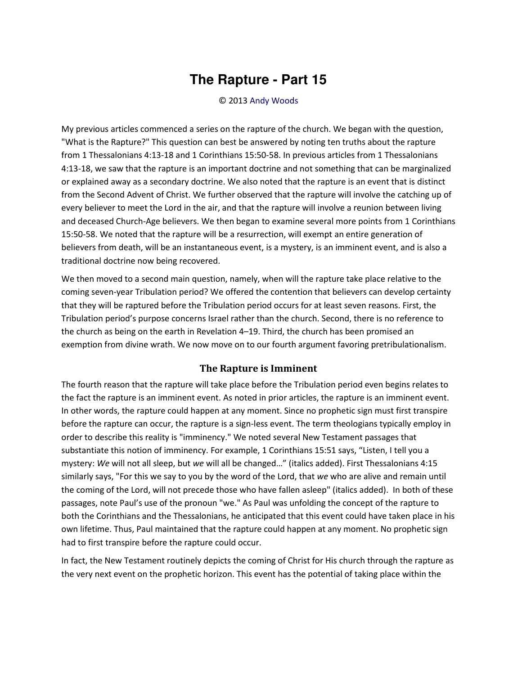## **The Rapture - Part 15**

## © 2013 [Andy Woods](http://www.spiritandtruth.org/id/aw.htm)

My previous articles commenced a series on the rapture of the church. We began with the question, "What is the Rapture?" This question can best be answered by noting ten truths about the rapture from 1 Thessalonians 4:13-18 and 1 Corinthians 15:50-58. In previous articles from 1 Thessalonians 4:13-18, we saw that the rapture is an important doctrine and not something that can be marginalized or explained away as a secondary doctrine. We also noted that the rapture is an event that is distinct from the Second Advent of Christ. We further observed that the rapture will involve the catching up of every believer to meet the Lord in the air, and that the rapture will involve a reunion between living and deceased Church-Age believers. We then began to examine several more points from 1 Corinthians 15:50-58. We noted that the rapture will be a resurrection, will exempt an entire generation of believers from death, will be an instantaneous event, is a mystery, is an imminent event, and is also a traditional doctrine now being recovered.

We then moved to a second main question, namely, when will the rapture take place relative to the coming seven-year Tribulation period? We offered the contention that believers can develop certainty that they will be raptured before the Tribulation period occurs for at least seven reasons. First, the Tribulation period's purpose concerns Israel rather than the church. Second, there is no reference to the church as being on the earth in Revelation 4–19. Third, the church has been promised an exemption from divine wrath. We now move on to our fourth argument favoring pretribulationalism.

## **The Rapture is Imminent**

The fourth reason that the rapture will take place before the Tribulation period even begins relates to the fact the rapture is an imminent event. As noted in prior articles, the rapture is an imminent event. In other words, the rapture could happen at any moment. Since no prophetic sign must first transpire before the rapture can occur, the rapture is a sign-less event. The term theologians typically employ in order to describe this reality is "imminency." We noted several New Testament passages that substantiate this notion of imminency. For example, 1 Corinthians 15:51 says, "Listen, I tell you a mystery: We will not all sleep, but we will all be changed..." (italics added). First Thessalonians 4:15 similarly says, "For this we say to you by the word of the Lord, that *we* who are alive and remain until the coming of the Lord, will not precede those who have fallen asleep" (italics added). In both of these passages, note Paul's use of the pronoun "we." As Paul was unfolding the concept of the rapture to both the Corinthians and the Thessalonians, he anticipated that this event could have taken place in his own lifetime. Thus, Paul maintained that the rapture could happen at any moment. No prophetic sign had to first transpire before the rapture could occur.

In fact, the New Testament routinely depicts the coming of Christ for His church through the rapture as the very next event on the prophetic horizon. This event has the potential of taking place within the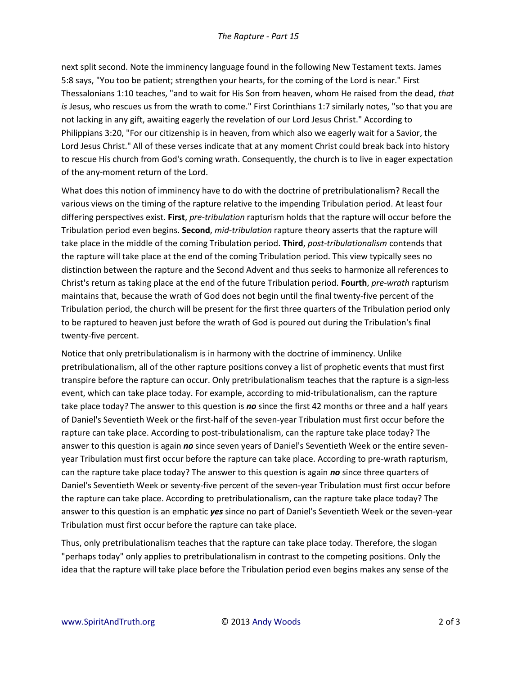next split second. Note the imminency language found in the following New Testament texts. James 5:8 says, "You too be patient; strengthen your hearts, for the coming of the Lord is near." First Thessalonians 1:10 teaches, "and to wait for His Son from heaven, whom He raised from the dead, *that is* Jesus, who rescues us from the wrath to come." First Corinthians 1:7 similarly notes, "so that you are not lacking in any gift, awaiting eagerly the revelation of our Lord Jesus Christ." According to Philippians 3:20, "For our citizenship is in heaven, from which also we eagerly wait for a Savior, the Lord Jesus Christ." All of these verses indicate that at any moment Christ could break back into history to rescue His church from God's coming wrath. Consequently, the church is to live in eager expectation of the any-moment return of the Lord.

What does this notion of imminency have to do with the doctrine of pretribulationalism? Recall the various views on the timing of the rapture relative to the impending Tribulation period. At least four differing perspectives exist. **First**, *pre-tribulation* rapturism holds that the rapture will occur before the Tribulation period even begins. **Second**, *mid-tribulation* rapture theory asserts that the rapture will take place in the middle of the coming Tribulation period. **Third**, *post-tribulationalism* contends that the rapture will take place at the end of the coming Tribulation period. This view typically sees no distinction between the rapture and the Second Advent and thus seeks to harmonize all references to Christ's return as taking place at the end of the future Tribulation period. **Fourth**, *pre-wrath* rapturism maintains that, because the wrath of God does not begin until the final twenty-five percent of the Tribulation period, the church will be present for the first three quarters of the Tribulation period only to be raptured to heaven just before the wrath of God is poured out during the Tribulation's final twenty-five percent.

Notice that only pretribulationalism is in harmony with the doctrine of imminency. Unlike pretribulationalism, all of the other rapture positions convey a list of prophetic events that must first transpire before the rapture can occur. Only pretribulationalism teaches that the rapture is a sign-less event, which can take place today. For example, according to mid-tribulationalism, can the rapture take place today? The answer to this question is *no* since the first 42 months or three and a half years of Daniel's Seventieth Week or the first-half of the seven-year Tribulation must first occur before the rapture can take place. According to post-tribulationalism, can the rapture take place today? The answer to this question is again *no* since seven years of Daniel's Seventieth Week or the entire sevenyear Tribulation must first occur before the rapture can take place. According to pre-wrath rapturism, can the rapture take place today? The answer to this question is again *no* since three quarters of Daniel's Seventieth Week or seventy-five percent of the seven-year Tribulation must first occur before the rapture can take place. According to pretribulationalism, can the rapture take place today? The answer to this question is an emphatic *yes* since no part of Daniel's Seventieth Week or the seven-year Tribulation must first occur before the rapture can take place.

Thus, only pretribulationalism teaches that the rapture can take place today. Therefore, the slogan "perhaps today" only applies to pretribulationalism in contrast to the competing positions. Only the idea that the rapture will take place before the Tribulation period even begins makes any sense of the